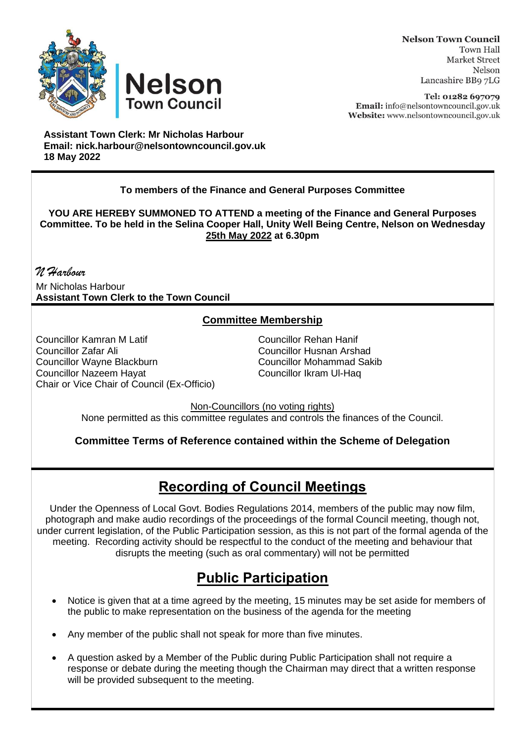



**Nelson Town Council Town Hall Market Street** Nelson Lancashire BB9 7LG

Tel: 01282 697079 Email: info@nelsontowncouncil.gov.uk Website: www.nelsontowncouncil.gov.uk

**Assistant Town Clerk: Mr Nicholas Harbour Email: nick.harbour@nelsontowncouncil.gov.uk 18 May 2022** 

## **To members of the Finance and General Purposes Committee**

**YOU ARE HEREBY SUMMONED TO ATTEND a meeting of the Finance and General Purposes Committee. To be held in the Selina Cooper Hall, Unity Well Being Centre, Nelson on Wednesday 25th May 2022 at 6.30pm**

*N Harbour* Mr Nicholas Harbour **Assistant Town Clerk to the Town Council**

## **Committee Membership**

Councillor Kamran M Latif Councillor Rehan Hanif Councillor Zafar Ali Councillor Husnan Arshad Councillor Wayne Blackburn **Councillor Mohammad S**<br>Councillor Nazeem Havat Councillor Ikram Ul-Hag Councillor Nazeem Havat Chair or Vice Chair of Council (Ex-Officio)

Non-Councillors (no voting rights) None permitted as this committee regulates and controls the finances of the Council.

**Committee Terms of Reference contained within the Scheme of Delegation**

## **Recording of Council Meetings**

Under the Openness of Local Govt. Bodies Regulations 2014, members of the public may now film, photograph and make audio recordings of the proceedings of the formal Council meeting, though not, under current legislation, of the Public Participation session, as this is not part of the formal agenda of the meeting. Recording activity should be respectful to the conduct of the meeting and behaviour that disrupts the meeting (such as oral commentary) will not be permitted

## **Public Participation**

- Notice is given that at a time agreed by the meeting, 15 minutes may be set aside for members of the public to make representation on the business of the agenda for the meeting
- Any member of the public shall not speak for more than five minutes.
- A question asked by a Member of the Public during Public Participation shall not require a response or debate during the meeting though the Chairman may direct that a written response will be provided subsequent to the meeting.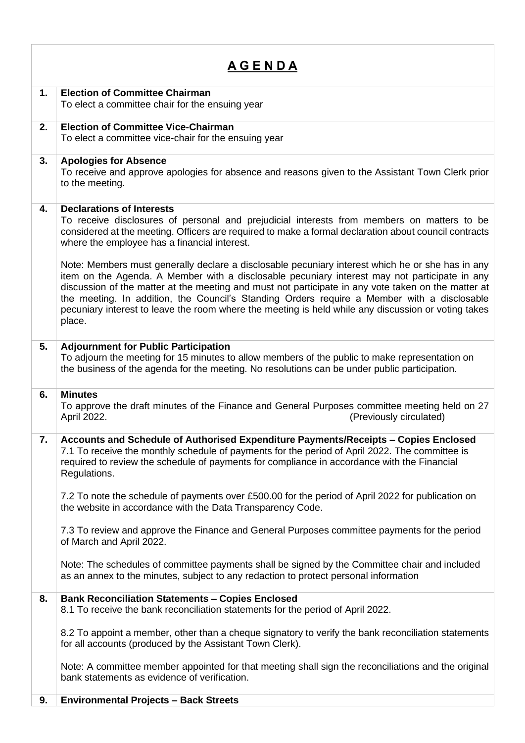| <u>A G E N D A</u> |                                                                                                                                                                                                                                                                                                                                                                                                                                                                                                                          |  |
|--------------------|--------------------------------------------------------------------------------------------------------------------------------------------------------------------------------------------------------------------------------------------------------------------------------------------------------------------------------------------------------------------------------------------------------------------------------------------------------------------------------------------------------------------------|--|
| 1.                 | <b>Election of Committee Chairman</b><br>To elect a committee chair for the ensuing year                                                                                                                                                                                                                                                                                                                                                                                                                                 |  |
| 2.                 | <b>Election of Committee Vice-Chairman</b><br>To elect a committee vice-chair for the ensuing year                                                                                                                                                                                                                                                                                                                                                                                                                       |  |
| 3.                 | <b>Apologies for Absence</b><br>To receive and approve apologies for absence and reasons given to the Assistant Town Clerk prior<br>to the meeting.                                                                                                                                                                                                                                                                                                                                                                      |  |
| 4.                 | <b>Declarations of Interests</b><br>To receive disclosures of personal and prejudicial interests from members on matters to be<br>considered at the meeting. Officers are required to make a formal declaration about council contracts<br>where the employee has a financial interest.                                                                                                                                                                                                                                  |  |
|                    | Note: Members must generally declare a disclosable pecuniary interest which he or she has in any<br>item on the Agenda. A Member with a disclosable pecuniary interest may not participate in any<br>discussion of the matter at the meeting and must not participate in any vote taken on the matter at<br>the meeting. In addition, the Council's Standing Orders require a Member with a disclosable<br>pecuniary interest to leave the room where the meeting is held while any discussion or voting takes<br>place. |  |
| 5.                 | <b>Adjournment for Public Participation</b><br>To adjourn the meeting for 15 minutes to allow members of the public to make representation on<br>the business of the agenda for the meeting. No resolutions can be under public participation.                                                                                                                                                                                                                                                                           |  |
| 6.                 | <b>Minutes</b><br>To approve the draft minutes of the Finance and General Purposes committee meeting held on 27<br>April 2022.<br>(Previously circulated)                                                                                                                                                                                                                                                                                                                                                                |  |
| 7.                 | Accounts and Schedule of Authorised Expenditure Payments/Receipts - Copies Enclosed<br>7.1 To receive the monthly schedule of payments for the period of April 2022. The committee is<br>required to review the schedule of payments for compliance in accordance with the Financial<br>Regulations.                                                                                                                                                                                                                     |  |
|                    | 7.2 To note the schedule of payments over £500.00 for the period of April 2022 for publication on<br>the website in accordance with the Data Transparency Code.                                                                                                                                                                                                                                                                                                                                                          |  |
|                    | 7.3 To review and approve the Finance and General Purposes committee payments for the period<br>of March and April 2022.                                                                                                                                                                                                                                                                                                                                                                                                 |  |
|                    | Note: The schedules of committee payments shall be signed by the Committee chair and included<br>as an annex to the minutes, subject to any redaction to protect personal information                                                                                                                                                                                                                                                                                                                                    |  |
| 8.                 | <b>Bank Reconciliation Statements - Copies Enclosed</b><br>8.1 To receive the bank reconciliation statements for the period of April 2022.                                                                                                                                                                                                                                                                                                                                                                               |  |
|                    | 8.2 To appoint a member, other than a cheque signatory to verify the bank reconciliation statements<br>for all accounts (produced by the Assistant Town Clerk).                                                                                                                                                                                                                                                                                                                                                          |  |
|                    | Note: A committee member appointed for that meeting shall sign the reconciliations and the original<br>bank statements as evidence of verification.                                                                                                                                                                                                                                                                                                                                                                      |  |
| 9.                 | <b>Environmental Projects - Back Streets</b>                                                                                                                                                                                                                                                                                                                                                                                                                                                                             |  |